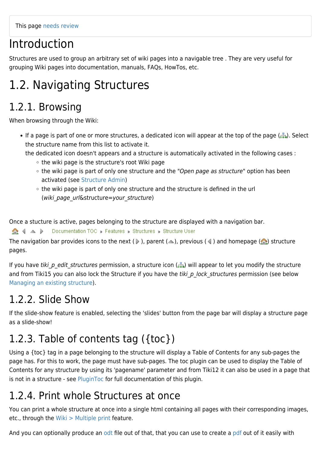# Introduction

Structures are used to group an arbitrary set of wiki pages into a navigable tree . They are very useful for grouping Wiki pages into documentation, manuals, FAQs, HowTos, etc.

# 1.2. Navigating Structures

# 1.2.1. Browsing

When browsing through the Wiki:

- If a page is part of one or more structures, a dedicated icon will appear at the top of the page (...). Select the structure name from this list to activate it.
	- the dedicated icon doesn't appears and a structure is automatically activated in the following cases :
		- $\circ$  the wiki page is the structure's root Wiki page
		- the wiki page is part of only one structure and the "Open page as structure" option has been activated (see [Structure Admin](https://doc.tiki.org/Structure-Admin))
		- the wiki page is part of only one structure and the structure is defined in the url (wiki page url&structure=your structure)

Once a stucture is active, pages belonging to the structure are displayed with a navigation bar.

Documentation TOC » Features » Structures » Structure User  $\bigcirc$   $\uparrow$   $\uparrow$   $\uparrow$ 

The navigation bar provides icons to the next ( $\triangleright$ ), parent ( $\triangle$ ), previous ( $\triangle$ ) and homepage ( $\triangle$ ) structure pages.

If you have tiki p edit structures permission, a structure icon  $\binom{n}{k}$  will appear to let you modify the structure and from Tiki15 you can also lock the Structure if you have the tiki p\_lock\_structures permission (see below [Managing an existing structure\)](#page--1-0).

# 1.2.2. Slide Show

If the slide-show feature is enabled, selecting the 'slides' button from the page bar will display a structure page as a slide-show!

# 1.2.3. Table of contents tag ({toc})

Using a {toc} tag in a page belonging to the structure will display a Table of Contents for any sub-pages the page has. For this to work, the page must have sub-pages. The toc plugin can be used to display the Table of Contents for any structure by using its 'pagename' parameter and from Tiki12 it can also be used in a page that is not in a structure - see [PluginToc](https://doc.tiki.org/PluginToc) for full documentation of this plugin.

# 1.2.4. Print whole Structures at once

You can print a whole structure at once into a single html containing all pages with their corresponding images, etc., through the [Wiki > Multiple print](tiki-print_pages.php) feature.

And you can optionally produce an [odt](https://doc.tiki.org/odt) file out of that, that you can use to create a [pdf](https://doc.tiki.org/PDF) out of it easily with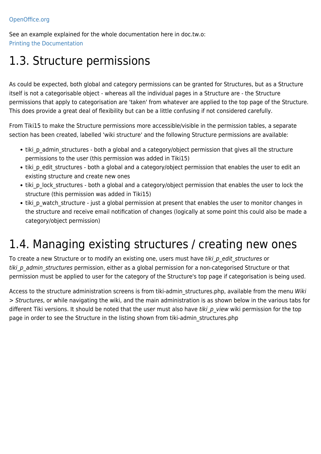See an example explained for the whole documentation here in doc.tw.o: [Printing the Documentation](https://doc.tiki.org/Printing-the-Documentation)

# 1.3. Structure permissions

As could be expected, both global and category permissions can be granted for Structures, but as a Structure itself is not a categorisable object - whereas all the individual pages in a Structure are - the Structure permissions that apply to categorisation are 'taken' from whatever are applied to the top page of the Structure. This does provide a great deal of flexibility but can be a little confusing if not considered carefully.

From Tiki15 to make the Structure permissions more accessible/visible in the permission tables, a separate section has been created, labelled 'wiki structure' and the following Structure permissions are available:

- tiki p\_admin\_structures both a global and a category/object permission that gives all the structure permissions to the user (this permission was added in Tiki15)
- tiki p\_edit\_structures both a global and a category/object permission that enables the user to edit an existing structure and create new ones
- tiki p lock structures both a global and a category/object permission that enables the user to lock the structure (this permission was added in Tiki15)
- tiki p watch structure just a global permission at present that enables the user to monitor changes in the structure and receive email notification of changes (logically at some point this could also be made a category/object permission)

# 1.4. Managing existing structures / creating new ones

To create a new Structure or to modify an existing one, users must have tiki p edit structures or tiki p admin structures permission, either as a global permission for a non-categorised Structure or that permission must be applied to user for the category of the Structure's top page if categorisation is being used.

Access to the structure administration screens is from tiki-admin\_structures.php, available from the menu Wiki > Structures, or while navigating the wiki, and the main administration is as shown below in the various tabs for different Tiki versions. It should be noted that the user must also have tiki  $p$  view wiki permission for the top page in order to see the Structure in the listing shown from tiki-admin\_structures.php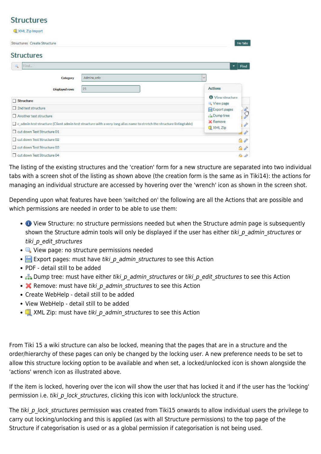### **Structures**

| XML Zip Import              |                                                                                                                        |                                      |
|-----------------------------|------------------------------------------------------------------------------------------------------------------------|--------------------------------------|
| Structures Create Structure |                                                                                                                        | No Tabs                              |
| <b>Structures</b>           |                                                                                                                        |                                      |
| Find<br>吗                   |                                                                                                                        | Find<br>٠                            |
| Category                    | Admins_only                                                                                                            | v.                                   |
| Displayed rows              | 25                                                                                                                     | <b>Actions</b>                       |
| Structure                   |                                                                                                                        | <b>O</b> View structure<br>View page |
| 2nd test structure          |                                                                                                                        | Export pages                         |
| Another test structure      |                                                                                                                        | <b>Dump tree</b>                     |
|                             | c admin test structure (Client admin test structure with a very long alias name to stretch the structure listingtable) | <b>POP</b><br>X Remove               |
| out down Test Structure 01  |                                                                                                                        | XML Zip<br>$\frac{1}{2}$             |
| cut down Test Structure 02  |                                                                                                                        | $a^*$                                |
| cut down Test Structure 03  |                                                                                                                        | 自护                                   |
| out down Test Structure 04  |                                                                                                                        | $A^*$                                |

The listing of the existing structures and the 'creation' form for a new structure are separated into two individual tabs with a screen shot of the listing as shown above (the creation form is the same as in Tiki14): the actions for managing an individual structure are accessed by hovering over the 'wrench' icon as shown in the screen shot.

Depending upon what features have been 'switched on' the following are all the Actions that are possible and which permissions are needed in order to be able to use them:

- View Structure: no structure permissions needed but when the Structure admin page is subsequently shown the Structure admin tools will only be displayed if the user has either tiki p\_admin\_structures or tiki p edit structures
- **Q** View page: no structure permissions needed
- **Export pages: must have tiki p admin structures to see this Action**
- PDF detail still to be added
- B Dump tree: must have either tiki p admin structures or tiki p edit structures to see this Action
- **X** Remove: must have tiki p admin structures to see this Action
- Create WebHelp detail still to be added
- View WebHelp detail still to be added
- **Example 2** XML Zip: must have tiki p admin structures to see this Action

From Tiki 15 a wiki structure can also be locked, meaning that the pages that are in a structure and the order/hierarchy of these pages can only be changed by the locking user. A new preference needs to be set to allow this structure locking option to be available and when set, a locked/unlocked icon is shown alongside the 'actions' wrench icon as illustrated above.

If the item is locked, hovering over the icon will show the user that has locked it and if the user has the 'locking' permission i.e. tiki p lock structures, clicking this icon with lock/unlock the structure.

The tiki p lock structures permission was created from Tiki15 onwards to allow individual users the privilege to carry out locking/unlocking and this is applied (as with all Structure permissions) to the top page of the Structure if categorisation is used or as a global permission if categorisation is not being used.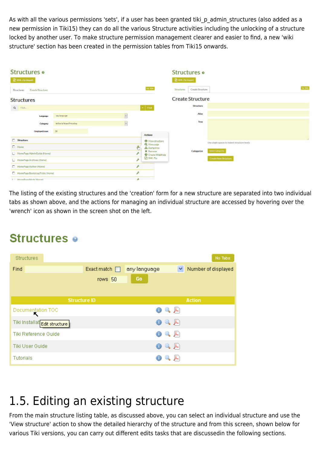As with all the various permissions 'sets', if a user has been granted tiki\_p\_admin\_structures (also added as a new permission in Tiki15) they can do all the various Structure activities including the unlocking of a structure locked by another user. To make structure permission management clearer and easier to find, a new 'wiki structure' section has been created in the permission tables from Tiki15 onwards.

| <b>Structures</b> o<br><b>D</b> XML Zip Import |                                |   |                                            | <b>Structures</b> o<br><b>NAT Zip Import</b> |                  |                                              |
|------------------------------------------------|--------------------------------|---|--------------------------------------------|----------------------------------------------|------------------|----------------------------------------------|
| Create Structure<br>Structures:                |                                |   | <b>Advisoring to</b><br>$\rm He~Fe\bar{e}$ | Structures                                   | Create Struchare | Aig Tabs                                     |
| <b>Structures</b>                              |                                |   |                                            | <b>Create Structure</b>                      |                  |                                              |
| $Q$ Find                                       |                                |   | $\tau$ . Find                              |                                              | Structura        |                                              |
| Language                                       | any brigance.                  | 뒥 |                                            |                                              | Alian            |                                              |
| Category                                       | <b>Editorial Scord Wooding</b> | × |                                            |                                              | True<br>- 26     |                                              |
| Displayed rows                                 | 50 <sub>1</sub>                |   | Actions                                    |                                              |                  |                                              |
| C Structure                                    |                                |   | O Viewstructure                            |                                              |                  |                                              |
| $\Box$ Home                                    |                                | € | <b>Q</b> Viewpage<br>da Dampiroo           |                                              |                  | Use single spaces to indent structure levels |
| HomePage Admin Guide (Home)                    |                                |   | X Temove<br>Create WebHolp                 |                                              | Categorize       | <b>Select Cotegones</b>                      |
| Homehaps Andrives (Home)                       |                                | ۶ | <b>FIXME Zip</b>                           |                                              |                  | Create New Structure                         |
| Homehaps Author (Home)                         |                                | r |                                            |                                              |                  |                                              |
| HomePage BootstrapTricks (Home)                |                                |   |                                            |                                              |                  |                                              |
| 1 T - Livera Peau Mork (Hyend)                 |                                | ٠ |                                            |                                              |                  |                                              |

The listing of the existing structures and the 'creation' form for a new structure are separated into two individual tabs as shown above, and the actions for managing an individual structure are accessed by hovering over the 'wrench' icon as shown in the screen shot on the left.

# **Structures**  $\bullet$

| <b>Structures</b>             |                    |              |              | No Tabs             |
|-------------------------------|--------------------|--------------|--------------|---------------------|
| Find                          | Exact match $\Box$ | any language | ×.           | Number of displayed |
|                               | rows 50            | Go           |              |                     |
|                               |                    |              |              |                     |
| <b>Structure ID</b>           |                    |              |              | <b>Action</b>       |
| Documentation TOC<br>↖        |                    | $\bullet$    | $\mathbb{Q}$ |                     |
| Tiki Installat Edit structure |                    | ◉            | $\mathbb{R}$ |                     |
| Tiki Reference Guide          |                    | $_{\odot}$   | $\sim$ $\mu$ |                     |
| Tiki User Guide               |                    | $\bullet$    | 2 人          |                     |
| <b>Tutorials</b>              |                    |              | ∼            |                     |

# 1.5. Editing an existing structure

From the main structure listing table, as discussed above, you can select an individual structure and use the 'View structure' action to show the detailed hierarchy of the structure and from this screen, shown below for various Tiki versions, you can carry out different edits tasks that are discussedin the following sections.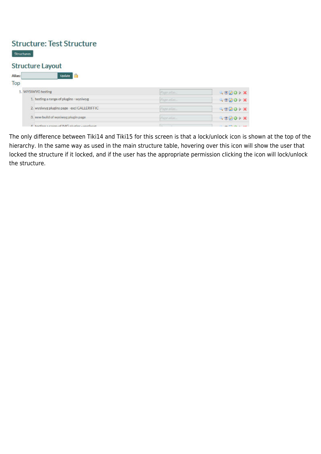### **Structure: Test Structure**

**Structures** 

#### **Structure Layout**

Alias: Buddette Buddette Bu

| Top |                                                |               |                                 |
|-----|------------------------------------------------|---------------|---------------------------------|
|     | 1. WYSIWYG testing                             | Fage allar    | 4000X                           |
|     | 1. testing a range of plugins - wysiwyg        | Pripe allar   | <b>ASDOPX</b>                   |
|     | 2. wysiwyg plugins page excl GALLERIFFIC       | Page allac-   | <b>SOROIX</b>                   |
|     | 3. new build of wysiwyg plugin page.           | Page with     | <b>SONO X</b>                   |
|     | A. English a connoc of IMC pluring - unglesser | <b>Common</b> | the same fifth with the country |

The only difference between Tiki14 and Tiki15 for this screen is that a lock/unlock icon is shown at the top of the hierarchy. In the same way as used in the main structure table, hovering over this icon will show the user that locked the structure if it locked, and if the user has the appropriate permission clicking the icon will lock/unlock the structure.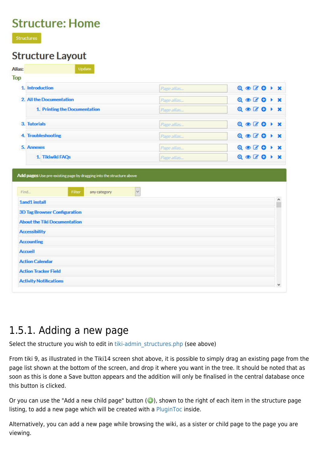### **Structure: Home**

**Structures** 

### Structure Lavout

| 1. Introduction                                                                                                            | Page allas       | $Q \odot Q$ or $Q \rightarrow X$ |
|----------------------------------------------------------------------------------------------------------------------------|------------------|----------------------------------|
| 2. All the Documentation                                                                                                   | Page allas.      | $Q \otimes Q$                    |
| 1. Printing the Documentation                                                                                              | Page allas.      | $Q \otimes G$                    |
| 3. Tutorials                                                                                                               | Page allas       | $Q \otimes Q$                    |
| 4. Troubleshooting                                                                                                         | Page allas       | $Q \otimes Q$                    |
| 5. Annexes                                                                                                                 | Page alias       | $Q \otimes Q$                    |
|                                                                                                                            |                  |                                  |
| 1. Tikiwiki FAQs<br>Add pages Use pre-existing page by dragging into the structure above<br>Find<br>Filter<br>any category | Page allas.<br>V |                                  |
| <b>1and1 install</b>                                                                                                       |                  |                                  |
| <b>3D Tag Browser Configuration</b>                                                                                        |                  |                                  |
| <b>About the Tiki Documentation</b>                                                                                        |                  | $Q \otimes Z$                    |
| <b>Accessibility</b>                                                                                                       |                  |                                  |
| <b>Accounting</b>                                                                                                          |                  |                                  |
| <b>Accueil</b>                                                                                                             |                  |                                  |
| <b>Action Calendar</b>                                                                                                     |                  |                                  |

### 1.5.1. Adding a new page

Select the structure you wish to edit in [tiki-admin\\_structures.php](tiki-admin_structures.php) (see above)

From tiki 9, as illustrated in the Tiki14 screen shot above, it is possible to simply drag an existing page from the page list shown at the bottom of the screen, and drop it where you want in the tree. It should be noted that as soon as this is done a Save button appears and the addition will only be finalised in the central database once this button is clicked.

Or you can use the "Add a new child page" button  $\odot$ ), shown to the right of each item in the structure page listing, to add a new page which will be created with a [PluginToc](https://doc.tiki.org/PluginToc) inside.

Alternatively, you can add a new page while browsing the wiki, as a sister or child page to the page you are viewing.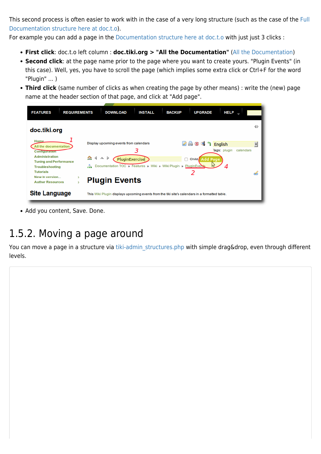This second process is often easier to work with in the case of a very long structure (such as the case of the [Full](https://doc.tiki.org/All-the-Documentation) [Documentation structure here at doc.t.o\)](https://doc.tiki.org/All-the-Documentation).

For example you can add a page in the [Documentation structure here at doc.t.o](https://doc.tiki.org/All-the-Documentation) with just just 3 clicks :

- **First click**: doc.t.o left column : **doc.tiki.org > "All the Documentation"** [\(All the Documentation](https://doc.tiki.org/All-the-Documentation))
- **Second click**: at the page name prior to the page where you want to create yours. "Plugin Events" (in this case). Well, yes, you have to scroll the page (which implies some extra click or Ctrl+F for the word "Plugin" ... )
- **Third click** (same number of clicks as when creating the page by other means) : write the (new) page name at the header section of that page, and click at "Add page".



• Add you content, Save. Done.

### 1.5.2. Moving a page around

You can move a page in a structure via tiki-admin structures.php with simple drag&drop, even through different levels.